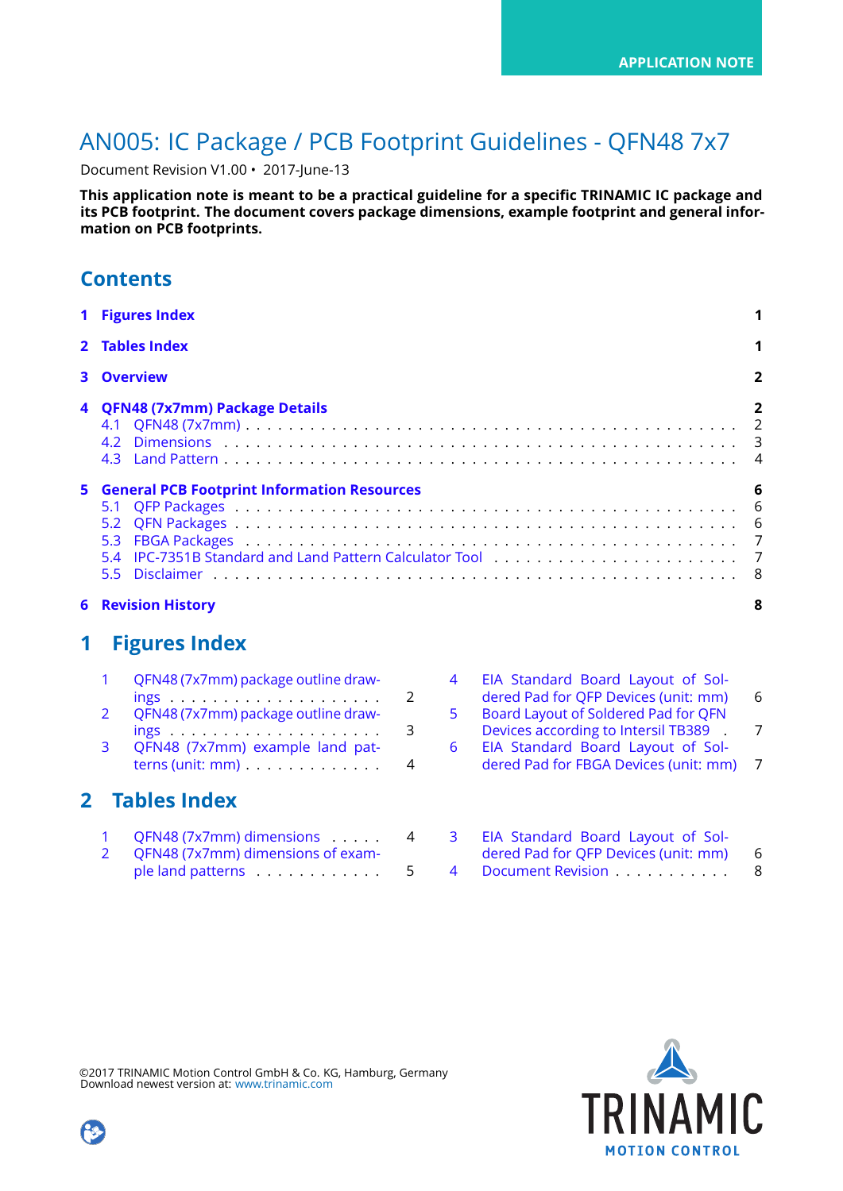# AN005: IC Package / PCB Footprint Guidelines - QFN48 7x7

Document Revision V1.00 • 2017-June-13

**This application note is meant to be a practical guideline for a specific TRINAMIC IC package and its PCB footprint. The document covers package dimensions, example footprint and general information on PCB footprints.**

|  | <b>Contents</b> |  |
|--|-----------------|--|
|  |                 |  |

| 1 Figures Index                                      |   |
|------------------------------------------------------|---|
| 2 Tables Index                                       |   |
| <b>3</b> Overview                                    | 2 |
| 4 QFN48 (7x7mm) Package Details                      | 2 |
| <b>5</b> General PCB Footprint Information Resources |   |
| <b>6 Revision History</b>                            |   |

### <span id="page-0-0"></span>**1 Figures Index**

| $\mathbf{1}$  | QFN48 (7x7mm) package outline draw-               |   |
|---------------|---------------------------------------------------|---|
|               |                                                   | 2 |
| $\mathcal{P}$ | QFN48 (7x7mm) package outline draw-               | 3 |
| 3             | QFN48 (7x7mm) example land pat-                   |   |
|               | terns (unit: $mm$ ) $\ldots \ldots \ldots \ldots$ | Λ |
|               |                                                   |   |

### <span id="page-0-1"></span>**2 Tables Index**

| QFN48 (7x7mm) dimensions          | 4 |
|-----------------------------------|---|
| QFN48 (7x7mm) dimensions of exam- |   |
| ple land patterns                 | 5 |

|    | EIA Standard Board Layout of Sol-<br>dered Pad for QFP Devices (unit: mm) | 6   |
|----|---------------------------------------------------------------------------|-----|
| 5  | Board Layout of Soldered Pad for QFN                                      |     |
|    | Devices according to Intersil TB389 .                                     |     |
| 6. | EIA Standard Board Layout of Sol-                                         |     |
|    | dered Pad for FBGA Devices (unit: mm)                                     | - 7 |
|    |                                                                           |     |
|    |                                                                           |     |
|    |                                                                           |     |

| $\overline{3}$ | EIA Standard Board Layout of Sol-    |   |
|----------------|--------------------------------------|---|
|                | dered Pad for QFP Devices (unit: mm) | 6 |
| $\overline{4}$ | Document Revision                    | 8 |



©2017 TRINAMIC Motion Control GmbH & Co. KG, Hamburg, Germany Download newest version at: [www.trinamic.com](http://www.trinamic.com)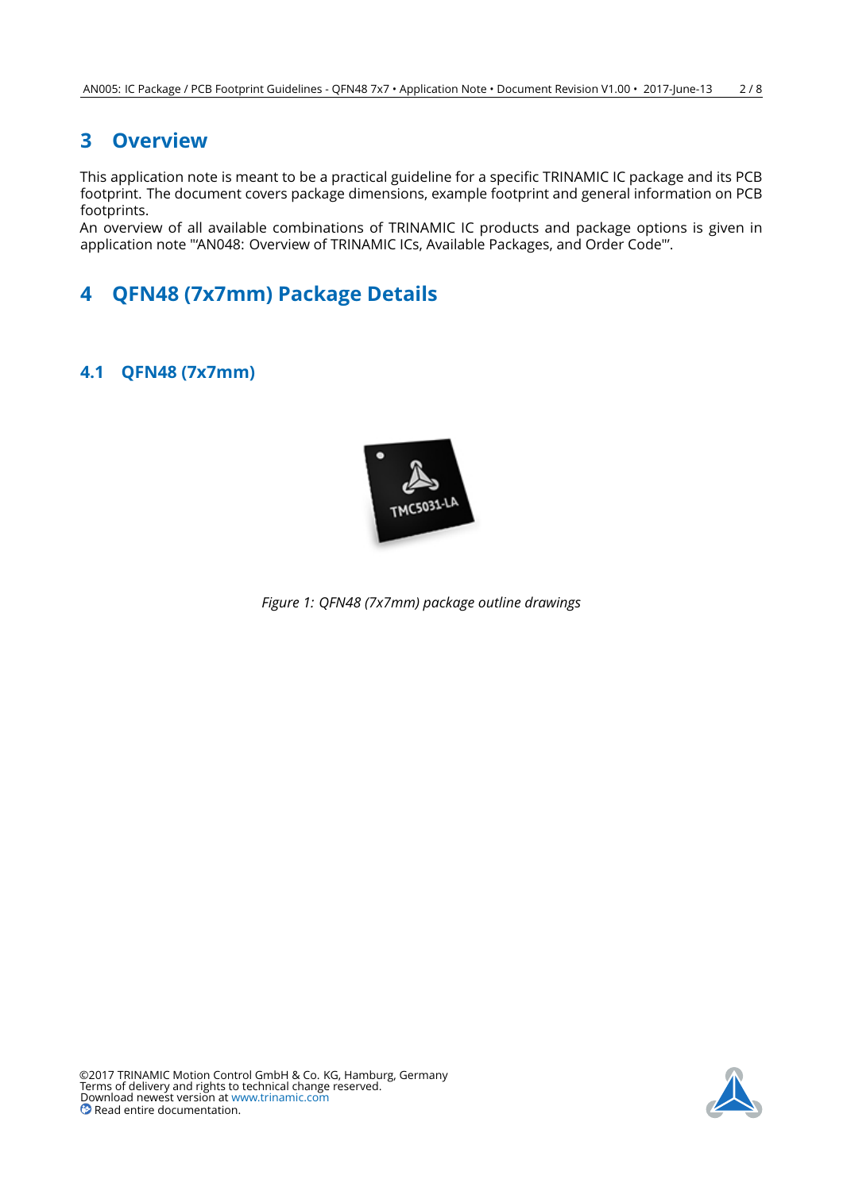### <span id="page-1-0"></span>**3 Overview**

This application note is meant to be a practical guideline for a specific TRINAMIC IC package and its PCB footprint. The document covers package dimensions, example footprint and general information on PCB footprints.

An overview of all available combinations of TRINAMIC IC products and package options is given in application note "'AN048: Overview of TRINAMIC ICs, Available Packages, and Order Code"'.

## <span id="page-1-1"></span>**4 QFN48 (7x7mm) Package Details**

### <span id="page-1-4"></span><span id="page-1-2"></span>**4.1 QFN48 (7x7mm)**



<span id="page-1-3"></span>*Figure 1: QFN48 (7x7mm) package outline drawings*

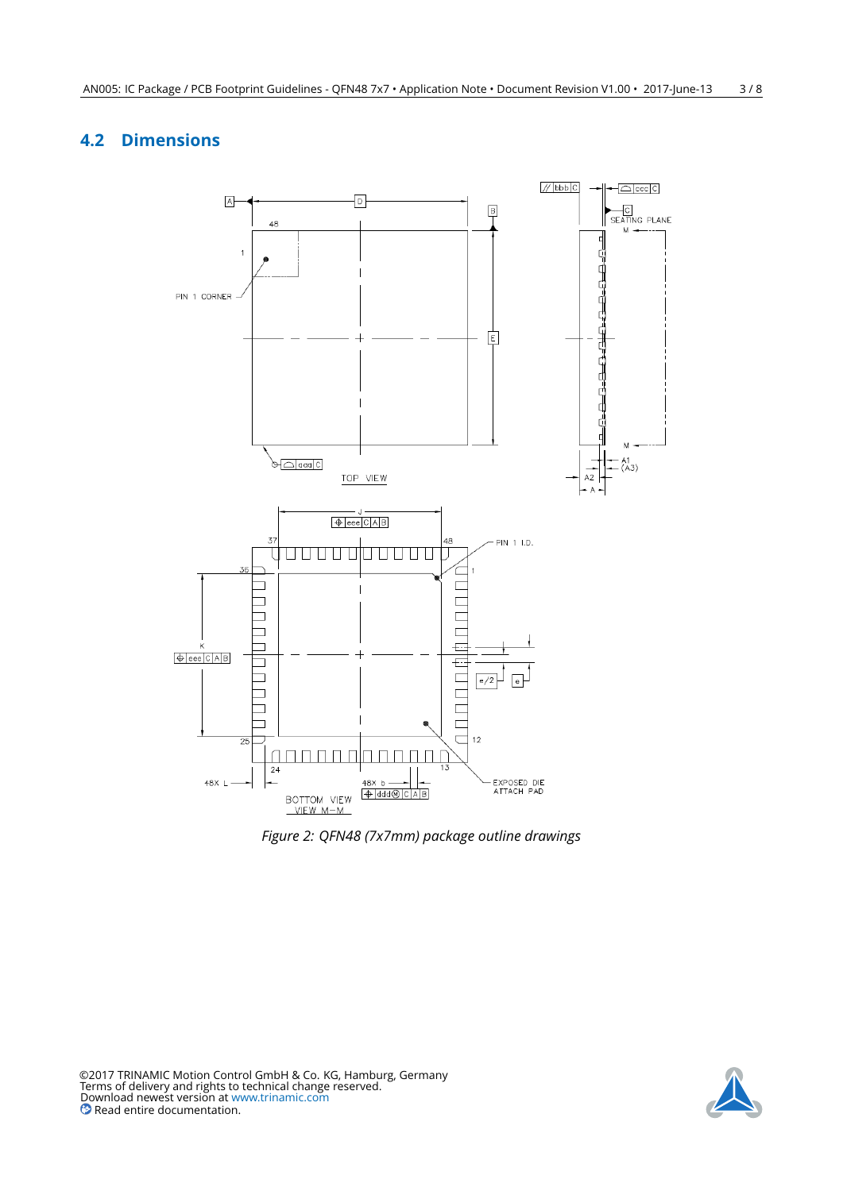#### <span id="page-2-0"></span>**4.2 Dimensions**



*Figure 2: QFN48 (7x7mm) package outline drawings*



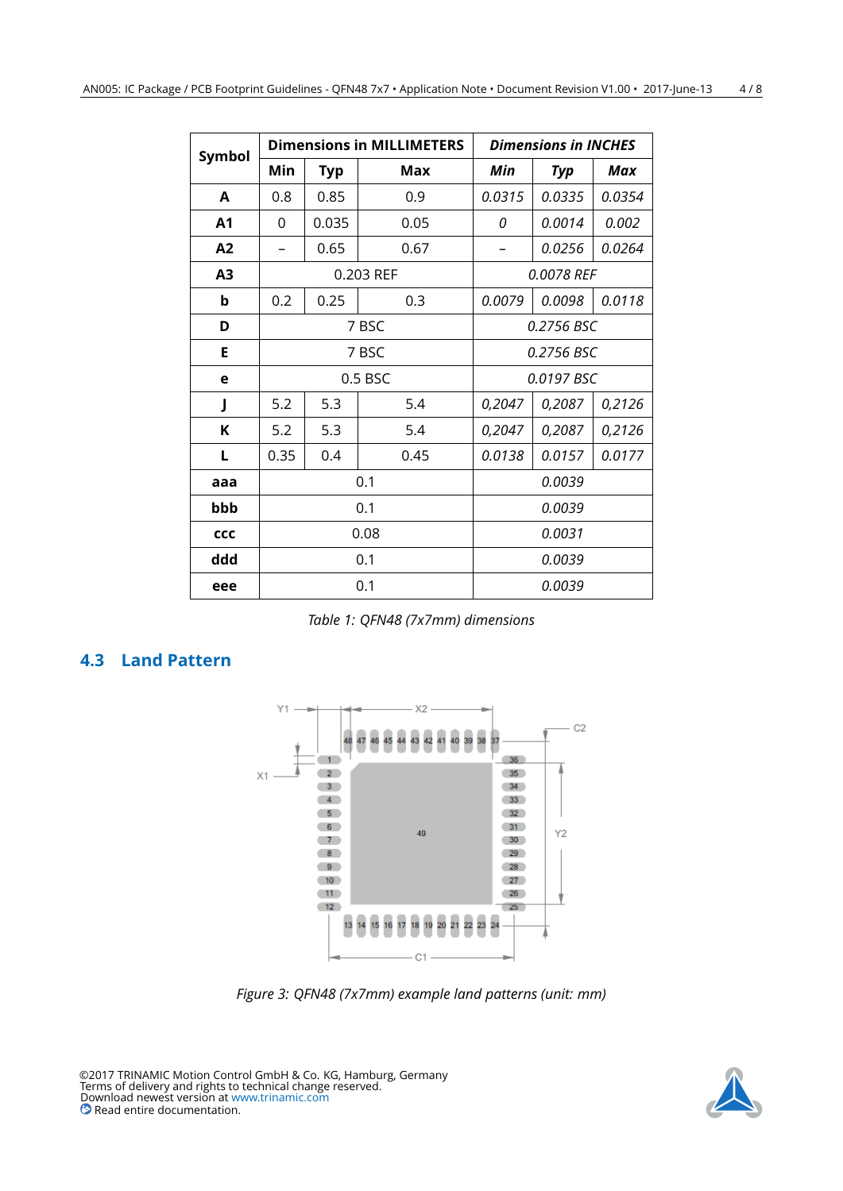<span id="page-3-2"></span>

| Symbol                  |                     |        | <b>Dimensions in MILLIMETERS</b> | <b>Dimensions in INCHES</b> |            |        |  |
|-------------------------|---------------------|--------|----------------------------------|-----------------------------|------------|--------|--|
|                         | Min                 | Typ    | Max                              | Min                         | Typ        | Max    |  |
| A                       | 0.8                 | 0.85   | 0.9                              | 0.0315                      | 0.0335     | 0.0354 |  |
| A <sub>1</sub>          | $\Omega$            | 0.035  | 0.05                             | 0                           | 0.0014     | 0.002  |  |
| A2                      | 0.65<br>0.67        |        |                                  | 0.0256                      | 0.0264     |        |  |
| A3                      |                     |        | 0.203 REF                        |                             | 0.0078 REF |        |  |
| b<br>0.2<br>0.25<br>0.3 |                     | 0.0079 | 0.0098                           | 0.0118                      |            |        |  |
| D                       | 7 BSC<br>0.2756 BSC |        |                                  |                             |            |        |  |
| Е                       |                     |        | 7 BSC                            | 0.2756 BSC                  |            |        |  |
| e                       |                     |        | $0.5$ BSC                        | 0.0197 BSC                  |            |        |  |
| J                       | 5.2<br>5.3<br>5.4   |        | 0,2047                           | 0,2087                      | 0,2126     |        |  |
| K                       | 5.2                 | 5.3    | 5.4                              | 0,2047                      | 0,2087     | 0,2126 |  |
| L                       | 0.35<br>0.4         |        | 0.45                             | 0.0138                      | 0.0157     | 0.0177 |  |
| aaa                     |                     |        | 0.1                              |                             | 0.0039     |        |  |
| bbb                     |                     |        | 0.1                              |                             | 0.0039     |        |  |
| CCC                     |                     |        | 0.08                             |                             | 0.0031     |        |  |
| ddd                     |                     |        | 0.1                              |                             | 0.0039     |        |  |
| eee                     |                     |        | 0.1                              |                             | 0.0039     |        |  |

*Table 1: QFN48 (7x7mm) dimensions*

#### <span id="page-3-1"></span><span id="page-3-0"></span>**4.3 Land Pattern**



*Figure 3: QFN48 (7x7mm) example land patterns (unit: mm)*

©2017 TRINAMIC Motion Control GmbH & Co. KG, Hamburg, Germany Terms of delivery and rights to technical change reserved. Download newest version at [www.trinamic.com](https://www.trinamic.com) Read entire documentation.

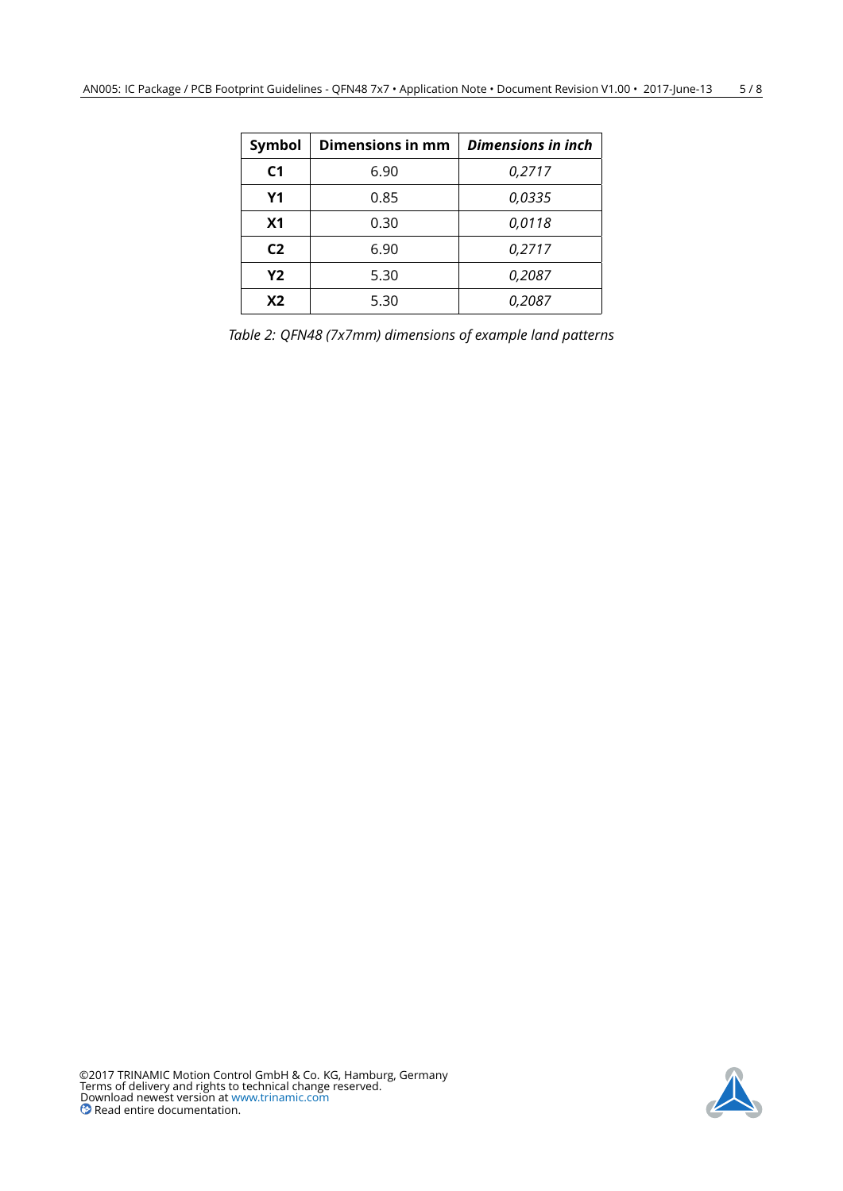<span id="page-4-0"></span>

| <b>Symbol</b>  | Dimensions in mm | Dimensions in inch |
|----------------|------------------|--------------------|
| C <sub>1</sub> | 6.90             | 0,2717             |
| <b>Y1</b>      | 0.85             | 0,0335             |
| X <sub>1</sub> | 0.30             | 0,0118             |
| C <sub>2</sub> | 6.90             | 0,2717             |
| Y2             | 5.30             | 0,2087             |
| X <sub>2</sub> | 5.30             | 0.2087             |

*Table 2: QFN48 (7x7mm) dimensions of example land patterns*

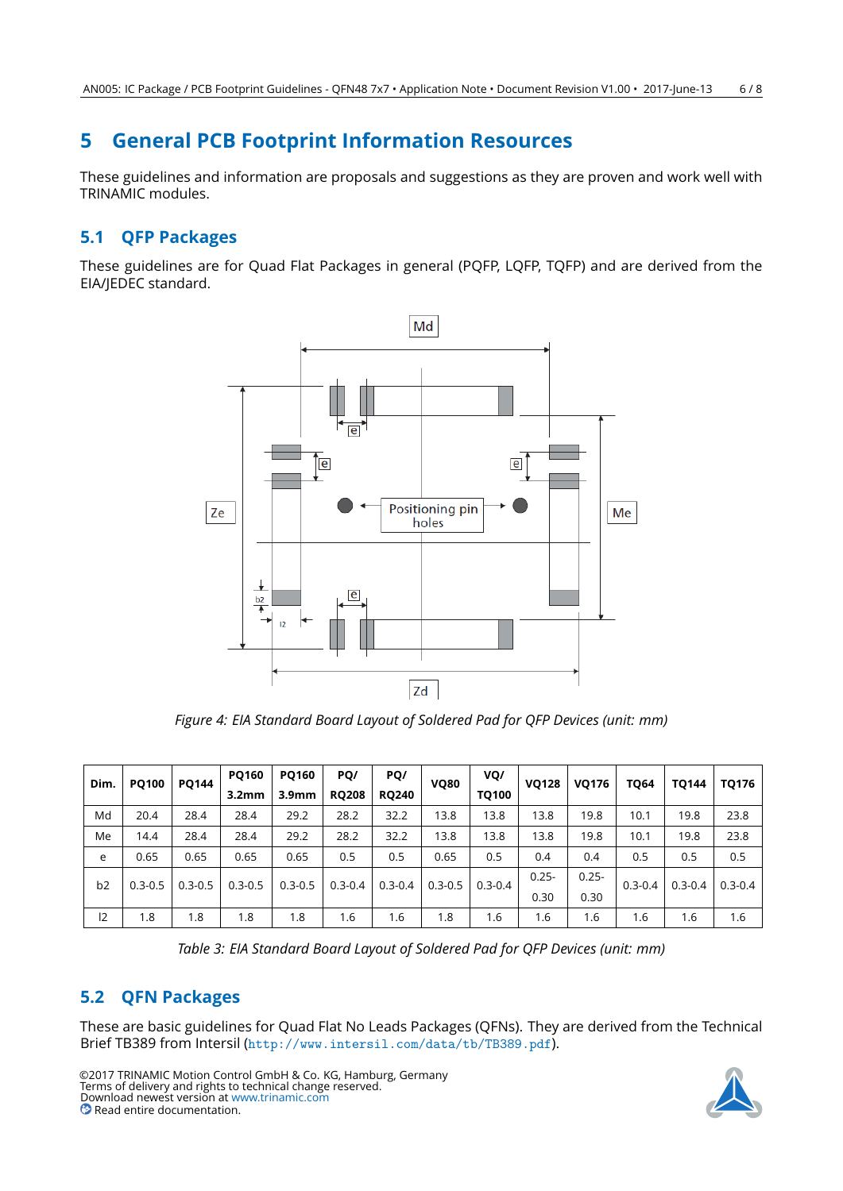### <span id="page-5-0"></span>**5 General PCB Footprint Information Resources**

These guidelines and information are proposals and suggestions as they are proven and work well with TRINAMIC modules.

#### <span id="page-5-1"></span>**5.1 QFP Packages**

<span id="page-5-3"></span>These guidelines are for Quad Flat Packages in general (PQFP, LQFP, TQFP) and are derived from the EIA/JEDEC standard.



*Figure 4: EIA Standard Board Layout of Soldered Pad for QFP Devices (unit: mm)*

<span id="page-5-4"></span>

| Dim. | <b>PQ100</b> | <b>PQ144</b> |                   |                   |              |              |             |             |          |          |             |             | <b>PQ160</b> | <b>PQ160</b> | PQ/ | PQ/ | <b>VQ80</b> | VQ/ | <b>VQ128</b> | <b>VQ176</b> | <b>TQ64</b> | <b>TQ144</b> | TQ176 |
|------|--------------|--------------|-------------------|-------------------|--------------|--------------|-------------|-------------|----------|----------|-------------|-------------|--------------|--------------|-----|-----|-------------|-----|--------------|--------------|-------------|--------------|-------|
|      |              |              | 3.2 <sub>mm</sub> | 3.9 <sub>mm</sub> | <b>RQ208</b> | <b>RQ240</b> |             | TO100       |          |          |             |             |              |              |     |     |             |     |              |              |             |              |       |
| Md   | 20.4         | 28.4         | 28.4              | 29.2              | 28.2         | 32.2         | 13.8        | 13.8        | 13.8     | 19.8     | 10.1        | 19.8        | 23.8         |              |     |     |             |     |              |              |             |              |       |
| Me   | 14.4         | 28.4         | 28.4              | 29.2              | 28.2         | 32.2         | 13.8        | 13.8        | 13.8     | 19.8     | 10.1        | 19.8        | 23.8         |              |     |     |             |     |              |              |             |              |       |
| e    | 0.65         | 0.65         | 0.65              | 0.65              | 0.5          | 0.5          | 0.65        | 0.5         | 0.4      | 0.4      | 0.5         | 0.5         | 0.5          |              |     |     |             |     |              |              |             |              |       |
| b2   | $0.3 - 0.5$  | $0.3 - 0.5$  | $0.3 - 0.5$       | $0.3 - 0.5$       | $0.3 - 0.4$  | $0.3 - 0.4$  | $0.3 - 0.5$ | $0.3 - 0.4$ | $0.25 -$ | $0.25 -$ | $0.3 - 0.4$ | $0.3 - 0.4$ | $0.3 - 0.4$  |              |     |     |             |     |              |              |             |              |       |
|      |              |              |                   |                   |              |              |             |             | 0.30     | 0.30     |             |             |              |              |     |     |             |     |              |              |             |              |       |
| 12   | 1.8          | 1.8          | 1.8               | 1.8               | 1.6          | 1.6          | 1.8         | 1.6         | 1.6      | 1.6      | 1.6         | 1.6         | 1.6          |              |     |     |             |     |              |              |             |              |       |

*Table 3: EIA Standard Board Layout of Soldered Pad for QFP Devices (unit: mm)*

#### <span id="page-5-2"></span>**5.2 QFN Packages**

These are basic guidelines for Quad Flat No Leads Packages (QFNs). They are derived from the Technical Brief TB389 from Intersil (<http://www.intersil.com/data/tb/TB389.pdf>).

©2017 TRINAMIC Motion Control GmbH & Co. KG, Hamburg, Germany Terms of delivery and rights to technical change reserved. Download newest version at [www.trinamic.com](https://www.trinamic.com) **Read entire documentation.** 

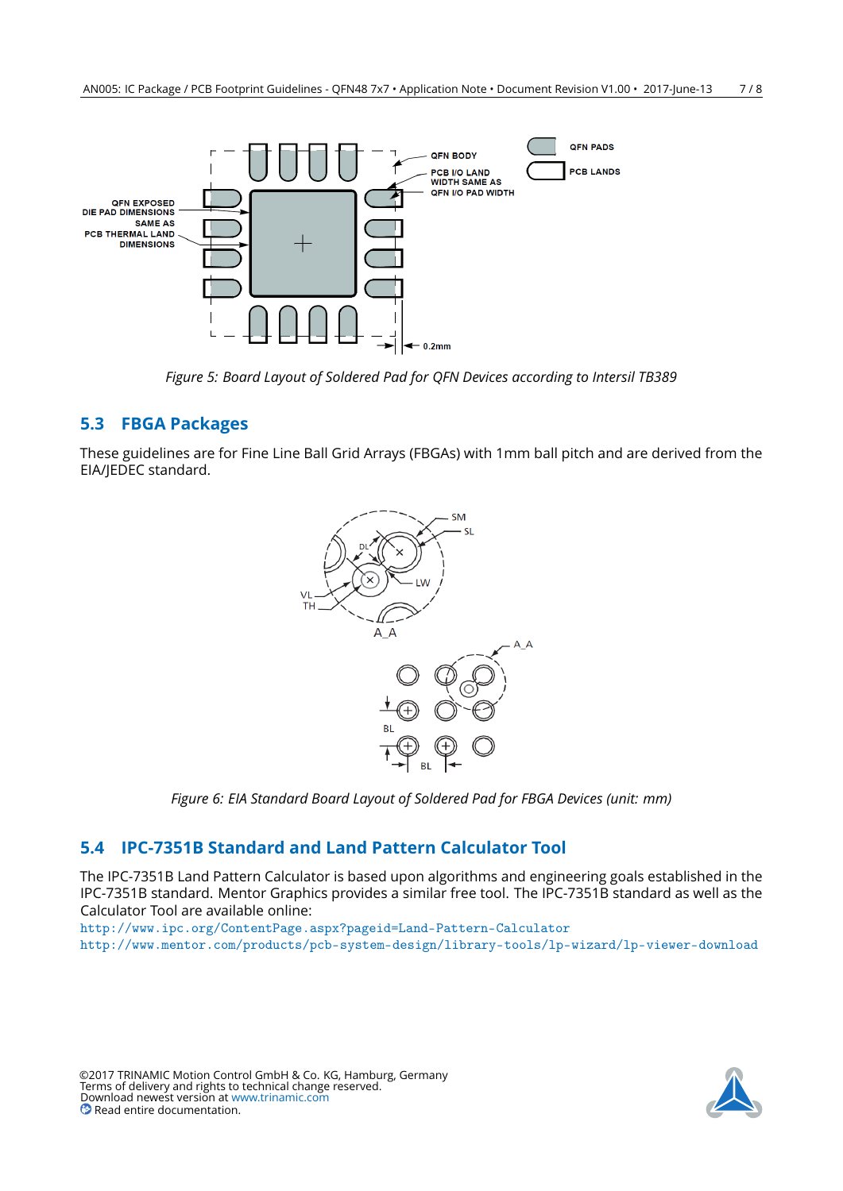<span id="page-6-2"></span>

*Figure 5: Board Layout of Soldered Pad for QFN Devices according to Intersil TB389*

#### <span id="page-6-0"></span>**5.3 FBGA Packages**

<span id="page-6-3"></span>These guidelines are for Fine Line Ball Grid Arrays (FBGAs) with 1mm ball pitch and are derived from the EIA/JEDEC standard.



*Figure 6: EIA Standard Board Layout of Soldered Pad for FBGA Devices (unit: mm)*

### <span id="page-6-1"></span>**5.4 IPC-7351B Standard and Land Pattern Calculator Tool**

The IPC-7351B Land Pattern Calculator is based upon algorithms and engineering goals established in the IPC-7351B standard. Mentor Graphics provides a similar free tool. The IPC-7351B standard as well as the Calculator Tool are available online:

<http://www.ipc.org/ContentPage.aspx?pageid=Land-Pattern-Calculator> <http://www.mentor.com/products/pcb-system-design/library-tools/lp-wizard/lp-viewer-download>

©2017 TRINAMIC Motion Control GmbH & Co. KG, Hamburg, Germany Terms of delivery and rights to technical change reserved. Download newest version at [www.trinamic.com](https://www.trinamic.com) Read entire documentation.